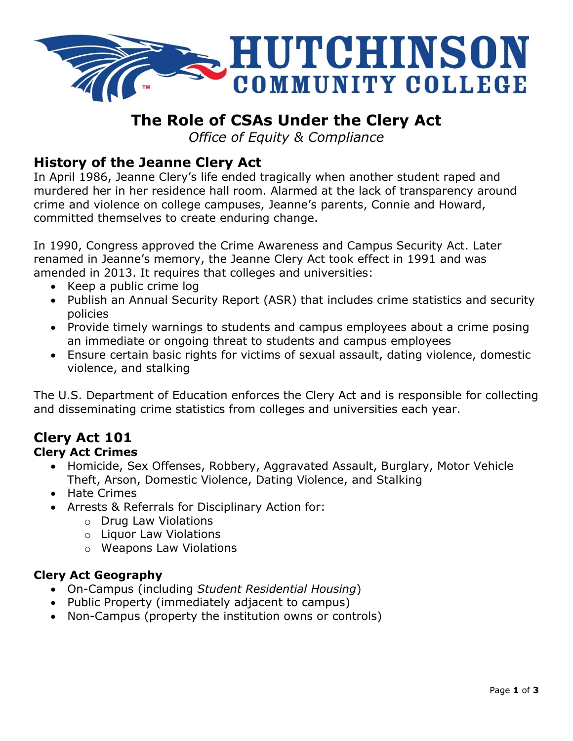

# **The Role of CSAs Under the Clery Act**

*Office of Equity & Compliance*

## **History of the Jeanne Clery Act**

In April 1986, Jeanne Clery's life ended tragically when another student raped and murdered her in her residence hall room. Alarmed at the lack of transparency around crime and violence on college campuses, Jeanne's parents, Connie and Howard, committed themselves to create enduring change.

In 1990, Congress approved the Crime Awareness and Campus Security Act. Later renamed in Jeanne's memory, the Jeanne Clery Act took effect in 1991 and was amended in 2013. It requires that colleges and universities:

- Keep a public crime log
- Publish an Annual Security Report (ASR) that includes crime statistics and security policies
- Provide timely warnings to students and campus employees about a crime posing an immediate or ongoing threat to students and campus employees
- Ensure certain basic rights for victims of sexual assault, dating violence, domestic violence, and stalking

The U.S. Department of Education enforces the Clery Act and is responsible for collecting and disseminating crime statistics from colleges and universities each year.

# **Clery Act 101**

#### **Clery Act Crimes**

- Homicide, Sex Offenses, Robbery, Aggravated Assault, Burglary, Motor Vehicle Theft, Arson, Domestic Violence, Dating Violence, and Stalking
- Hate Crimes
- Arrests & Referrals for Disciplinary Action for:
	- o Drug Law Violations
	- o Liquor Law Violations
	- o Weapons Law Violations

#### **Clery Act Geography**

- On-Campus (including *Student Residential Housing*)
- Public Property (immediately adjacent to campus)
- Non-Campus (property the institution owns or controls)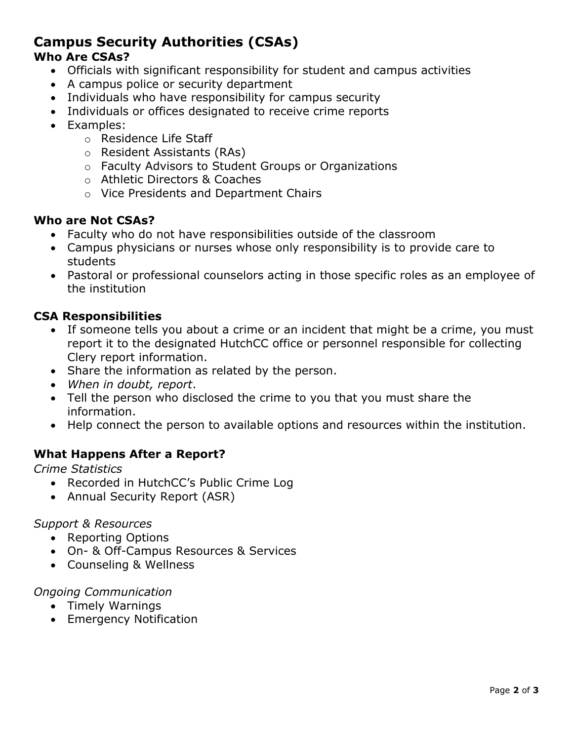## **Campus Security Authorities (CSAs)**

## **Who Are CSAs?**

- Officials with significant responsibility for student and campus activities
- A campus police or security department
- Individuals who have responsibility for campus security
- Individuals or offices designated to receive crime reports
- Examples:
	- o Residence Life Staff
	- o Resident Assistants (RAs)
	- o Faculty Advisors to Student Groups or Organizations
	- o Athletic Directors & Coaches
	- o Vice Presidents and Department Chairs

#### **Who are Not CSAs?**

- Faculty who do not have responsibilities outside of the classroom
- Campus physicians or nurses whose only responsibility is to provide care to students
- Pastoral or professional counselors acting in those specific roles as an employee of the institution

#### **CSA Responsibilities**

- If someone tells you about a crime or an incident that might be a crime, you must report it to the designated HutchCC office or personnel responsible for collecting Clery report information.
- Share the information as related by the person.
- *When in doubt, report*.
- Tell the person who disclosed the crime to you that you must share the information.
- Help connect the person to available options and resources within the institution.

#### **What Happens After a Report?**

*Crime Statistics*

- Recorded in HutchCC's Public Crime Log
- Annual Security Report (ASR)

#### *Support & Resources*

- Reporting Options
- On- & Off-Campus Resources & Services
- Counseling & Wellness

#### *Ongoing Communication*

- Timely Warnings
- Emergency Notification